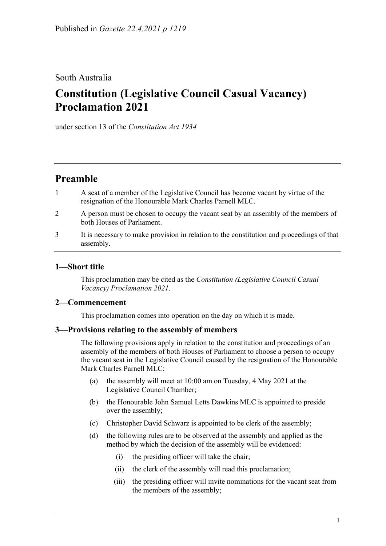## South Australia

# **Constitution (Legislative Council Casual Vacancy) Proclamation 2021**

under section 13 of the *Constitution Act 1934*

# **Preamble**

- 1 A seat of a member of the Legislative Council has become vacant by virtue of the resignation of the Honourable Mark Charles Parnell MLC.
- 2 A person must be chosen to occupy the vacant seat by an assembly of the members of both Houses of Parliament.
- 3 It is necessary to make provision in relation to the constitution and proceedings of that assembly.

### **1—Short title**

This proclamation may be cited as the *Constitution (Legislative Council Casual Vacancy) Proclamation 2021*.

### **2—Commencement**

This proclamation comes into operation on the day on which it is made.

#### **3—Provisions relating to the assembly of members**

The following provisions apply in relation to the constitution and proceedings of an assembly of the members of both Houses of Parliament to choose a person to occupy the vacant seat in the Legislative Council caused by the resignation of the Honourable Mark Charles Parnell MLC:

- (a) the assembly will meet at 10:00 am on Tuesday, 4 May 2021 at the Legislative Council Chamber;
- (b) the Honourable John Samuel Letts Dawkins MLC is appointed to preside over the assembly;
- (c) Christopher David Schwarz is appointed to be clerk of the assembly;
- (d) the following rules are to be observed at the assembly and applied as the method by which the decision of the assembly will be evidenced:
	- (i) the presiding officer will take the chair;
	- (ii) the clerk of the assembly will read this proclamation;
	- (iii) the presiding officer will invite nominations for the vacant seat from the members of the assembly;